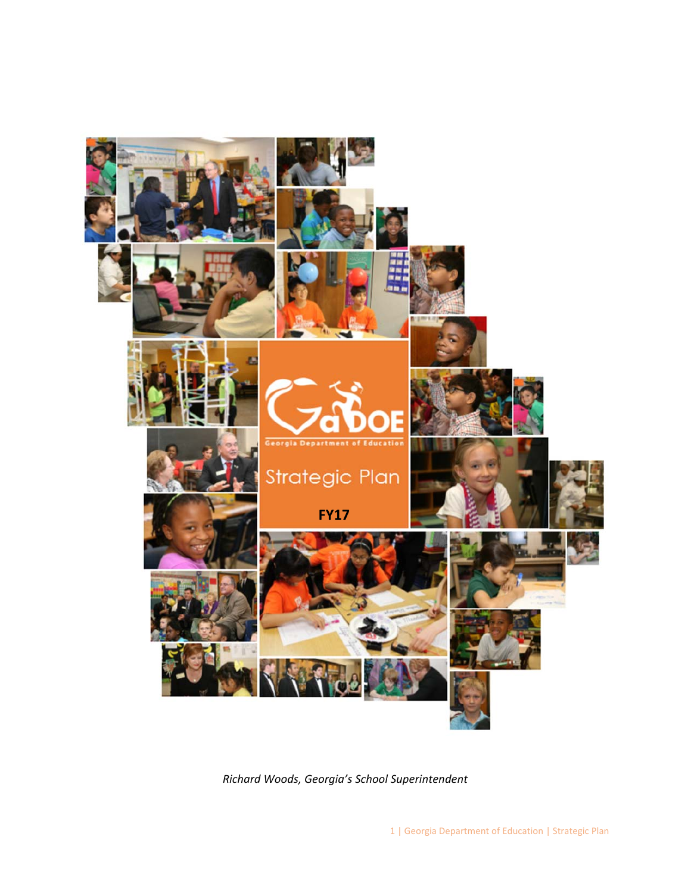

*Richard Woods, Georgia's School Superintendent*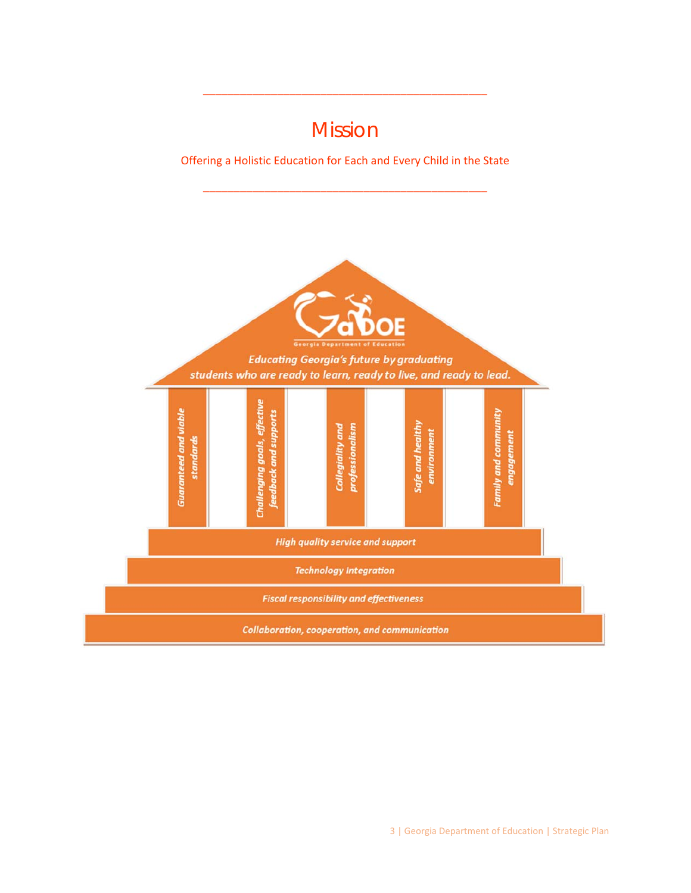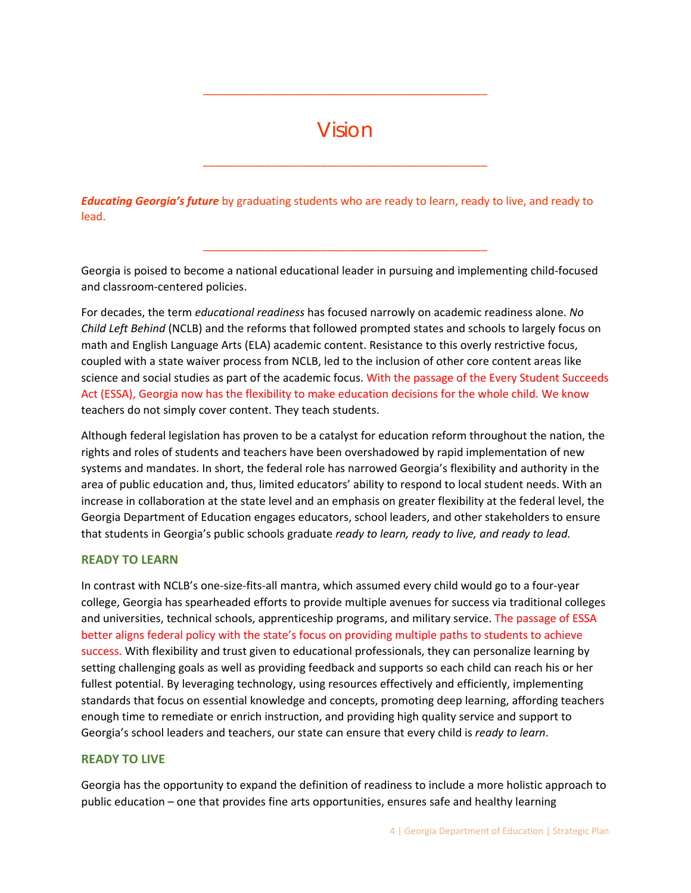# Vision

\_\_\_\_\_\_\_\_\_\_\_\_\_\_\_\_\_\_\_\_\_\_\_\_\_\_\_\_\_\_\_\_\_\_\_\_\_\_\_\_\_\_\_\_\_\_

\_\_\_\_\_\_\_\_\_\_\_\_\_\_\_\_\_\_\_\_\_\_\_\_\_\_\_\_\_\_\_\_\_\_\_\_\_\_\_\_\_\_\_\_\_\_

*Educating Georgia's future* by graduating students who are ready to learn, ready to live, and ready to lead.

Georgia is poised to become a national educational leader in pursuing and implementing child‐focused and classroom‐centered policies.

\_\_\_\_\_\_\_\_\_\_\_\_\_\_\_\_\_\_\_\_\_\_\_\_\_\_\_\_\_\_\_\_\_\_\_\_\_\_\_\_\_\_\_\_\_\_

For decades, the term *educational readiness* has focused narrowly on academic readiness alone. *No Child Left Behind* (NCLB) and the reforms that followed prompted states and schools to largely focus on math and English Language Arts (ELA) academic content. Resistance to this overly restrictive focus, coupled with a state waiver process from NCLB, led to the inclusion of other core content areas like science and social studies as part of the academic focus. With the passage of the Every Student Succeeds Act (ESSA), Georgia now has the flexibility to make education decisions for the whole child. We know teachers do not simply cover content. They teach students.

Although federal legislation has proven to be a catalyst for education reform throughout the nation, the rights and roles of students and teachers have been overshadowed by rapid implementation of new systems and mandates. In short, the federal role has narrowed Georgia's flexibility and authority in the area of public education and, thus, limited educators' ability to respond to local student needs. With an increase in collaboration at the state level and an emphasis on greater flexibility at the federal level, the Georgia Department of Education engages educators, school leaders, and other stakeholders to ensure that students in Georgia's public schools graduate *ready to learn, ready to live, and ready to lead.*

## **READY TO LEARN**

In contrast with NCLB's one‐size‐fits‐all mantra, which assumed every child would go to a four‐year college, Georgia has spearheaded efforts to provide multiple avenues for success via traditional colleges and universities, technical schools, apprenticeship programs, and military service. The passage of ESSA better aligns federal policy with the state's focus on providing multiple paths to students to achieve success. With flexibility and trust given to educational professionals, they can personalize learning by setting challenging goals as well as providing feedback and supports so each child can reach his or her fullest potential. By leveraging technology, using resources effectively and efficiently, implementing standards that focus on essential knowledge and concepts, promoting deep learning, affording teachers enough time to remediate or enrich instruction, and providing high quality service and support to Georgia's school leaders and teachers, our state can ensure that every child is *ready to learn*.

## **READY TO LIVE**

Georgia has the opportunity to expand the definition of readiness to include a more holistic approach to public education – one that provides fine arts opportunities, ensures safe and healthy learning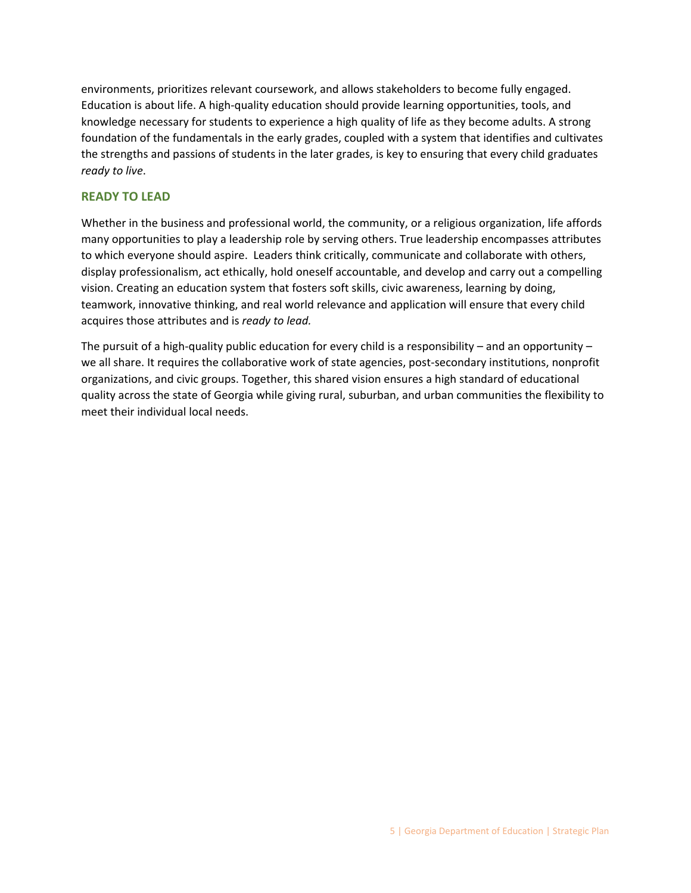environments, prioritizes relevant coursework, and allows stakeholders to become fully engaged. Education is about life. A high-quality education should provide learning opportunities, tools, and knowledge necessary for students to experience a high quality of life as they become adults. A strong foundation of the fundamentals in the early grades, coupled with a system that identifies and cultivates the strengths and passions of students in the later grades, is key to ensuring that every child graduates *ready to live*.

## **READY TO LEAD**

Whether in the business and professional world, the community, or a religious organization, life affords many opportunities to play a leadership role by serving others. True leadership encompasses attributes to which everyone should aspire. Leaders think critically, communicate and collaborate with others, display professionalism, act ethically, hold oneself accountable, and develop and carry out a compelling vision. Creating an education system that fosters soft skills, civic awareness, learning by doing, teamwork, innovative thinking, and real world relevance and application will ensure that every child acquires those attributes and is *ready to lead.*

The pursuit of a high-quality public education for every child is a responsibility – and an opportunity – we all share. It requires the collaborative work of state agencies, post-secondary institutions, nonprofit organizations, and civic groups. Together, this shared vision ensures a high standard of educational quality across the state of Georgia while giving rural, suburban, and urban communities the flexibility to meet their individual local needs.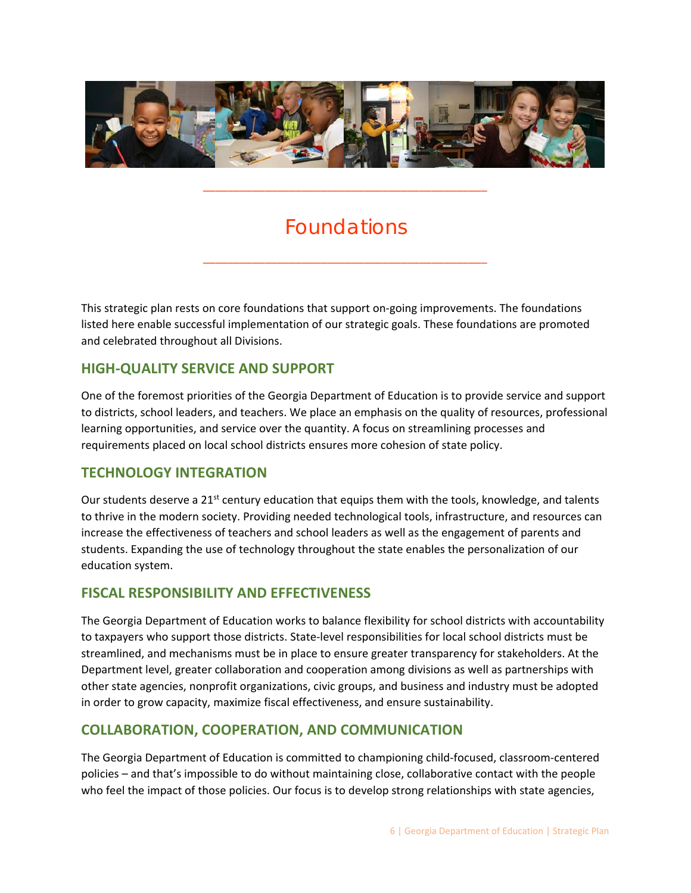

# Foundations

\_\_\_\_\_\_\_\_\_\_\_\_\_\_\_\_\_\_\_\_\_\_\_\_\_\_\_\_\_\_\_\_\_\_\_\_\_\_\_\_\_\_\_\_\_\_

\_\_\_\_\_\_\_\_\_\_\_\_\_\_\_\_\_\_\_\_\_\_\_\_\_\_\_\_\_\_\_\_\_\_\_\_\_\_\_\_\_\_\_\_\_\_

This strategic plan rests on core foundations that support on‐going improvements. The foundations listed here enable successful implementation of our strategic goals. These foundations are promoted and celebrated throughout all Divisions.

# **HIGH‐QUALITY SERVICE AND SUPPORT**

One of the foremost priorities of the Georgia Department of Education is to provide service and support to districts, school leaders, and teachers. We place an emphasis on the quality of resources, professional learning opportunities, and service over the quantity. A focus on streamlining processes and requirements placed on local school districts ensures more cohesion of state policy.

## **TECHNOLOGY INTEGRATION**

Our students deserve a  $21^{st}$  century education that equips them with the tools, knowledge, and talents to thrive in the modern society. Providing needed technological tools, infrastructure, and resources can increase the effectiveness of teachers and school leaders as well as the engagement of parents and students. Expanding the use of technology throughout the state enables the personalization of our education system.

## **FISCAL RESPONSIBILITY AND EFFECTIVENESS**

The Georgia Department of Education works to balance flexibility for school districts with accountability to taxpayers who support those districts. State‐level responsibilities for local school districts must be streamlined, and mechanisms must be in place to ensure greater transparency for stakeholders. At the Department level, greater collaboration and cooperation among divisions as well as partnerships with other state agencies, nonprofit organizations, civic groups, and business and industry must be adopted in order to grow capacity, maximize fiscal effectiveness, and ensure sustainability.

# **COLLABORATION, COOPERATION, AND COMMUNICATION**

The Georgia Department of Education is committed to championing child‐focused, classroom‐centered policies – and that's impossible to do without maintaining close, collaborative contact with the people who feel the impact of those policies. Our focus is to develop strong relationships with state agencies,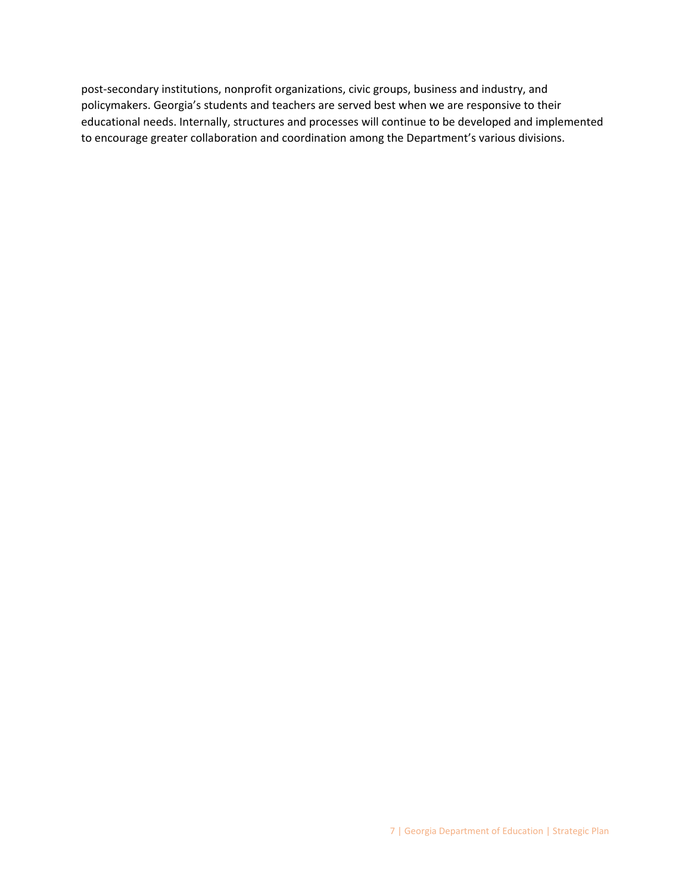post-secondary institutions, nonprofit organizations, civic groups, business and industry, and policymakers. Georgia's students and teachers are served best when we are responsive to their educational needs. Internally, structures and processes will continue to be developed and implemented to encourage greater collaboration and coordination among the Department's various divisions.